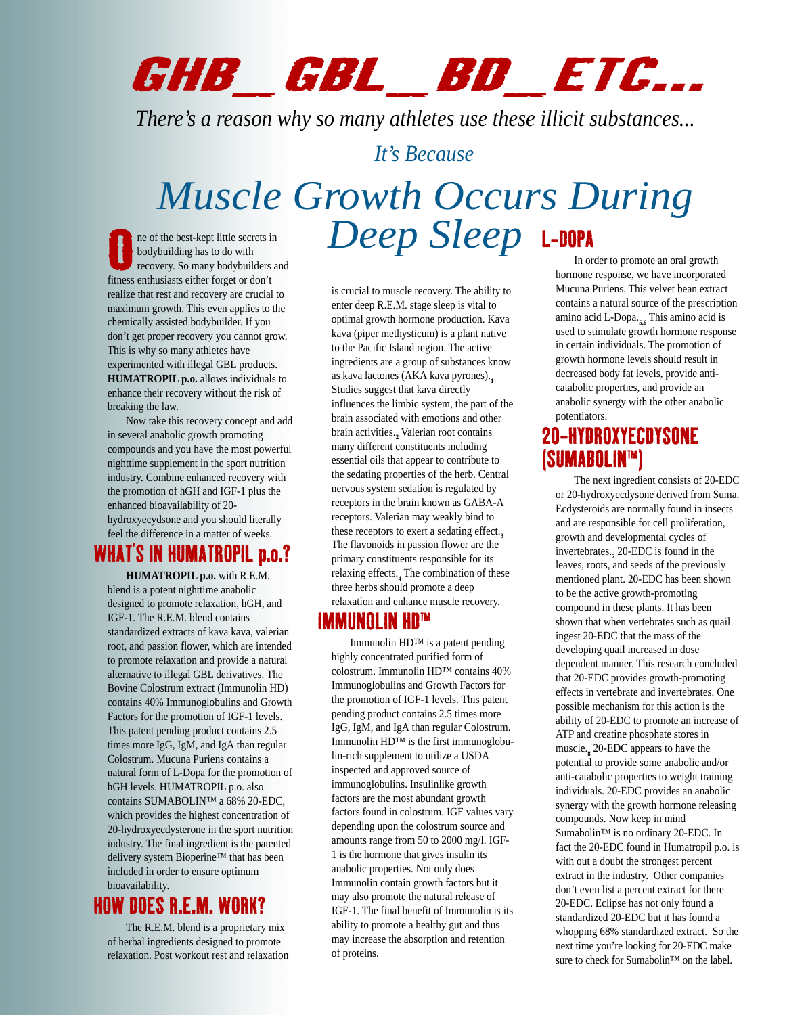# GHB\_GBL\_BD\_ETC...

*There's a reason why so many athletes use these illicit substances...*

#### *It's Because*

## L-DOPA *Muscle Growth Occurs During* **Deep Sleep Sleep Sleep**<br> **Deep Sleep**

ne of the best-kept little secrets in bodybuilding has to do with recovery. So many bodybuilders and fitness enthusiasts either forget or don't realize that rest and recovery are crucial to maximum growth. This even applies to the chemically assisted bodybuilder. If you don't get proper recovery you cannot grow. This is why so many athletes have experimented with illegal GBL products. **HUMATROPIL p.o.** allows individuals to enhance their recovery without the risk of breaking the law.

Now take this recovery concept and add in several anabolic growth promoting compounds and you have the most powerful nighttime supplement in the sport nutrition industry. Combine enhanced recovery with the promotion of hGH and IGF-1 plus the enhanced bioavailability of 20 hydroxyecydsone and you should literally feel the difference in a matter of weeks.

#### WHAT'S IN HUMATROPIL p.o.?

**HUMATROPIL p.o.** with R.E.M. blend is a potent nighttime anabolic designed to promote relaxation, hGH, and IGF-1. The R.E.M. blend contains standardized extracts of kava kava, valerian root, and passion flower, which are intended to promote relaxation and provide a natural alternative to illegal GBL derivatives. The Bovine Colostrum extract (Immunolin HD) contains 40% Immunoglobulins and Growth Factors for the promotion of IGF-1 levels. This patent pending product contains 2.5 times more IgG, IgM, and IgA than regular Colostrum. Mucuna Puriens contains a natural form of L-Dopa for the promotion of hGH levels. HUMATROPIL p.o. also contains SUMABOLIN™ a 68% 20-EDC, which provides the highest concentration of 20-hydroxyecdysterone in the sport nutrition industry. The final ingredient is the patented delivery system Bioperine™ that has been included in order to ensure optimum bioavailability.

### HOW DOES R.E.M. WORK?

The R.E.M. blend is a proprietary mix of herbal ingredients designed to promote relaxation. Post workout rest and relaxation is crucial to muscle recovery. The ability to enter deep R.E.M. stage sleep is vital to optimal growth hormone production. Kava kava (piper methysticum) is a plant native to the Pacific Island region. The active ingredients are a group of substances know as kava lactones (AKA kava pyrones).**<sup>1</sup>** Studies suggest that kava directly influences the limbic system, the part of the brain associated with emotions and other brain activities.**<sup>2</sup>** Valerian root contains many different constituents including essential oils that appear to contribute to the sedating properties of the herb. Central nervous system sedation is regulated by receptors in the brain known as GABA-A receptors. Valerian may weakly bind to these receptors to exert a sedating effect.**<sup>3</sup>** The flavonoids in passion flower are the primary constituents responsible for its relaxing effects.**<sup>4</sup>** The combination of these three herbs should promote a deep relaxation and enhance muscle recovery.

#### IMMUNOLIN HD™

Immunolin HD™ is a patent pending highly concentrated purified form of colostrum. Immunolin HD™ contains 40% Immunoglobulins and Growth Factors for the promotion of IGF-1 levels. This patent pending product contains 2.5 times more IgG, IgM, and IgA than regular Colostrum. Immunolin HD™ is the first immunoglobulin-rich supplement to utilize a USDA inspected and approved source of immunoglobulins. Insulinlike growth factors are the most abundant growth factors found in colostrum. IGF values vary depending upon the colostrum source and amounts range from 50 to 2000 mg/l. IGF-1 is the hormone that gives insulin its anabolic properties. Not only does Immunolin contain growth factors but it may also promote the natural release of IGF-1. The final benefit of Immunolin is its ability to promote a healthy gut and thus may increase the absorption and retention of proteins.

In order to promote an oral growth hormone response, we have incorporated Mucuna Puriens. This velvet bean extract contains a natural source of the prescription amino acid L-Dopa.**5,6** This amino acid is used to stimulate growth hormone response in certain individuals. The promotion of growth hormone levels should result in decreased body fat levels, provide anticatabolic properties, and provide an anabolic synergy with the other anabolic potentiators.

#### 20-HYDROXYECDYSONE (SUMABOLIN™)

The next ingredient consists of 20-EDC or 20-hydroxyecdysone derived from Suma. Ecdysteroids are normally found in insects and are responsible for cell proliferation, growth and developmental cycles of invertebrates.**<sup>7</sup>** 20-EDC is found in the leaves, roots, and seeds of the previously mentioned plant. 20-EDC has been shown to be the active growth-promoting compound in these plants. It has been shown that when vertebrates such as quail ingest 20-EDC that the mass of the developing quail increased in dose dependent manner. This research concluded that 20-EDC provides growth-promoting effects in vertebrate and invertebrates. One possible mechanism for this action is the ability of 20-EDC to promote an increase of ATP and creatine phosphate stores in muscle.**<sup>8</sup>** 20-EDC appears to have the potential to provide some anabolic and/or anti-catabolic properties to weight training individuals. 20-EDC provides an anabolic synergy with the growth hormone releasing compounds. Now keep in mind Sumabolin™ is no ordinary 20-EDC. In fact the 20-EDC found in Humatropil p.o. is with out a doubt the strongest percent extract in the industry. Other companies don't even list a percent extract for there 20-EDC. Eclipse has not only found a standardized 20-EDC but it has found a whopping 68% standardized extract. So the next time you're looking for 20-EDC make sure to check for Sumabolin™ on the label.